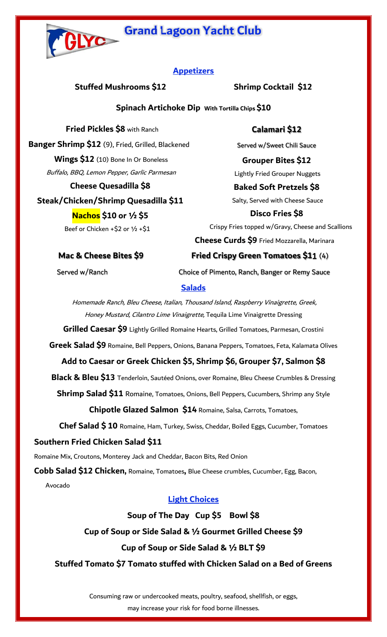# **Grand Lagoon Yacht Club**



### **Appetizers**

**Stuffed Mushrooms \$12 Shrimp Cocktail \$12** 

**Calamari \$12** 

Served w/Sweet Chili Sauce

### **Spinach Artichoke Dip With Tortilla Chips \$10**

 **Fried Pickles \$8** with Ranch **Banger Shrimp \$12** (9), Fried, Grilled, Blackened **Wings \$12** (10) Bone In Or Boneless Buffalo, BBQ, Lemon Pepper, Garlic Parmesan **Cheese Quesadilla \$8** 

**Steak/Chicken/Shrimp Quesadilla \$11** 

**Nachos \$10 or ½ \$5** Beef or Chicken +\$2 or 1/2 +\$1

**Grouper Bites \$12**  Lightly Fried Grouper Nuggets **Baked Soft Pretzels \$8**  Salty, Served with Cheese Sauce **Disco Fries \$8** Crispy Fries topped w/Gravy, Cheese and Scallions **Cheese Curds \$9** Fried Mozzarella, Marinara **Mac & Cheese Bites \$9 Fried Crispy Green Tomatoes \$11** (4) Served w/Ranch **Choice of Pimento, Ranch, Banger or Remy Sauce** 

### **Salads**

 Homemade Ranch, Bleu Cheese, Italian, Thousand Island, Raspberry Vinaigrette, Greek, Honey Mustard, Cilantro Lime Vinaigrette, Tequila Lime Vinaigrette Dressing

**Grilled Caesar \$9** Lightly Grilled Romaine Hearts, Grilled Tomatoes, Parmesan, Crostini

**Greek Salad \$9** Romaine, Bell Peppers, Onions, Banana Peppers, Tomatoes, Feta, Kalamata Olives

### **Add to Caesar or Greek Chicken \$5, Shrimp \$6, Grouper \$7, Salmon \$8**

**Black & Bleu \$13** Tenderloin, Sautéed Onions, over Romaine, Bleu Cheese Crumbles & Dressing

**Shrimp Salad \$11** Romaine, Tomatoes, Onions, Bell Peppers, Cucumbers, Shrimp any Style

**Chipotle Glazed Salmon \$14** Romaine, Salsa, Carrots, Tomatoes,

**Chef Salad \$ 10** Romaine, Ham, Turkey, Swiss, Cheddar, Boiled Eggs, Cucumber, Tomatoes

### **Southern Fried Chicken Salad \$11**

Romaine Mix, Croutons, Monterey Jack and Cheddar, Bacon Bits, Red Onion

**Cobb Salad \$12 Chicken,** Romaine, Tomatoes**,** Blue Cheese crumbles, Cucumber, Egg, Bacon,

Avocado

### **Light Choices**

**Soup of The Day Cup \$5 Bowl \$8** 

### **Cup of Soup or Side Salad & ½ Gourmet Grilled Cheese \$9**

### **Cup of Soup or Side Salad & ½ BLT \$9**

**Stuffed Tomato \$7 Tomato stuffed with Chicken Salad on a Bed of Greens** 

Consuming raw or undercooked meats, poultry, seafood, shellfish, or eggs, may increase your risk for food borne illnesses.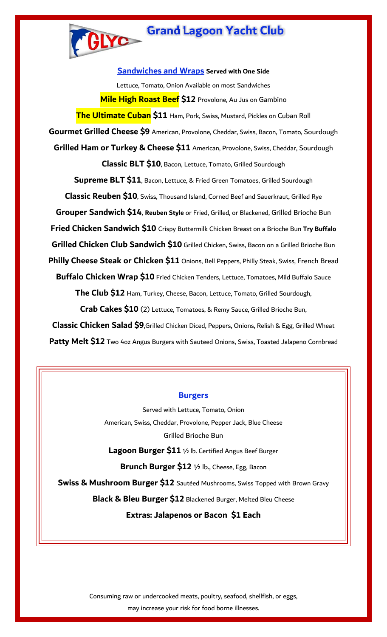

**Sandwiches and Wraps Served with One Side** Lettuce, Tomato, Onion Available on most Sandwiches **Mile High Roast Beef \$12** Provolone, Au Jus on Gambino **The Ultimate Cuban \$11** Ham, Pork, Swiss, Mustard, Pickles on Cuban Roll **Gourmet Grilled Cheese \$9** American, Provolone, Cheddar, Swiss, Bacon, Tomato, Sourdough **Grilled Ham or Turkey & Cheese \$11** American, Provolone, Swiss, Cheddar, Sourdough **Classic BLT \$10**, Bacon, Lettuce, Tomato, Grilled Sourdough **Supreme BLT \$11**, Bacon, Lettuce, & Fried Green Tomatoes, Grilled Sourdough **Classic Reuben \$10**, Swiss, Thousand Island, Corned Beef and Sauerkraut, Grilled Rye **Grouper Sandwich \$14**, **Reuben Style** or Fried, Grilled, or Blackened, Grilled Brioche Bun **Fried Chicken Sandwich \$10** Crispy Buttermilk Chicken Breast on a Brioche Bun **Try Buffalo Grilled Chicken Club Sandwich \$10** Grilled Chicken, Swiss, Bacon on a Grilled Brioche Bun **Philly Cheese Steak or Chicken \$11** Onions, Bell Peppers, Philly Steak, Swiss, French Bread **Buffalo Chicken Wrap \$10** Fried Chicken Tenders, Lettuce, Tomatoes, Mild Buffalo Sauce **The Club \$12** Ham, Turkey, Cheese, Bacon, Lettuce, Tomato, Grilled Sourdough, **Crab Cakes \$10** (2) Lettuce, Tomatoes, & Remy Sauce, Grilled Brioche Bun, **Classic Chicken Salad \$9**,Grilled Chicken Diced, Peppers, Onions, Relish & Egg, Grilled Wheat Patty Melt \$12 Two 4oz Angus Burgers with Sauteed Onions, Swiss, Toasted Jalapeno Cornbread

#### **Burgers**

Served with Lettuce, Tomato, Onion American, Swiss, Cheddar, Provolone, Pepper Jack, Blue Cheese Grilled Brioche Bun

**Lagoon Burger \$11** ½ lb. Certified Angus Beef Burger

**Brunch Burger \$12** ½ lb., Cheese, Egg, Bacon

**Swiss & Mushroom Burger \$12** Sautéed Mushrooms, Swiss Topped with Brown Gravy

**Black & Bleu Burger \$12** Blackened Burger, Melted Bleu Cheese

**Extras: Jalapenos or Bacon \$1 Each** 

Consuming raw or undercooked meats, poultry, seafood, shellfish, or eggs, may increase your risk for food borne illnesses.